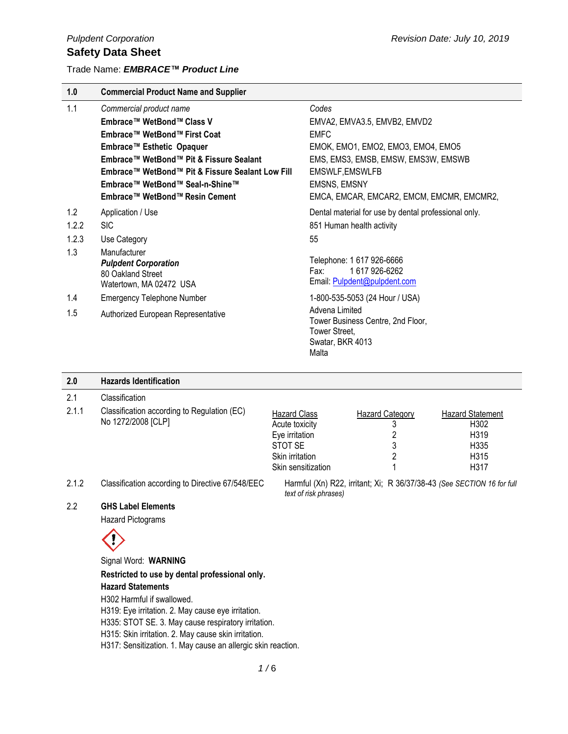Trade Name: *EMBRACE™ Product Line* 

| 1.0   | <b>Commercial Product Name and Supplier</b>                                                 |                                                                                                   |
|-------|---------------------------------------------------------------------------------------------|---------------------------------------------------------------------------------------------------|
| 1.1   | Commercial product name                                                                     | Codes                                                                                             |
|       | Embrace™ WetBond™ Class V                                                                   | EMVA2, EMVA3.5, EMVB2, EMVD2                                                                      |
|       | Embrace™ WetBond™ First Coat                                                                | <b>EMFC</b>                                                                                       |
|       | Embrace™ Esthetic Opaquer                                                                   | EMOK, EMO1, EMO2, EMO3, EMO4, EMO5                                                                |
|       | Embrace™ WetBond™ Pit & Fissure Sealant                                                     | EMS, EMS3, EMSB, EMSW, EMS3W, EMSWB                                                               |
|       | Embrace™ WetBond™ Pit & Fissure Sealant Low Fill                                            | <b>EMSWLF, EMSWLFB</b>                                                                            |
|       | Embrace™ WetBond™ Seal-n-Shine™                                                             | <b>EMSNS, EMSNY</b>                                                                               |
|       | Embrace™ WetBond™ Resin Cement                                                              | EMCA, EMCAR, EMCAR2, EMCM, EMCMR, EMCMR2,                                                         |
| 1.2   | Application / Use                                                                           | Dental material for use by dental professional only.                                              |
| 1.2.2 | <b>SIC</b>                                                                                  | 851 Human health activity                                                                         |
| 1.2.3 | Use Category                                                                                | 55                                                                                                |
| 1.3   | Manufacturer<br><b>Pulpdent Corporation</b><br>80 Oakland Street<br>Watertown, MA 02472 USA | Telephone: 1 617 926-6666<br>1617926-6262<br>Fax:<br>Email: Pulpdent@pulpdent.com                 |
| 1.4   | <b>Emergency Telephone Number</b>                                                           | 1-800-535-5053 (24 Hour / USA)                                                                    |
| 1.5   | Authorized European Representative                                                          | Advena Limited<br>Tower Business Centre, 2nd Floor,<br>Tower Street,<br>Swatar, BKR 4013<br>Malta |

| <b>Hazards Identification</b>                                     |                                                                                                             |                             |                                                                                                 |
|-------------------------------------------------------------------|-------------------------------------------------------------------------------------------------------------|-----------------------------|-------------------------------------------------------------------------------------------------|
| Classification                                                    |                                                                                                             |                             |                                                                                                 |
| Classification according to Regulation (EC)<br>No 1272/2008 [CLP] | <b>Hazard Class</b><br>Acute toxicity<br>Eye irritation<br>STOT SE<br>Skin irritation<br>Skin sensitization | <b>Hazard Category</b><br>3 | <b>Hazard Statement</b><br>H302<br>H319<br>H335<br>H315<br>H317                                 |
| Classification according to Directive 67/548/EEC                  |                                                                                                             |                             |                                                                                                 |
|                                                                   |                                                                                                             |                             | Harmful (Xn) R22, irritant; Xi; R 36/37/38-43 (See SECTION 16 for full<br>text of risk phrases) |

#### 2.2 **GHS Label Elements**

Hazard Pictograms

# $\left\langle 0\right\rangle$

Signal Word: **WARNING**

**Restricted to use by dental professional only. Hazard Statements**

H302 Harmful if swallowed.

H319: Eye irritation. 2. May cause eye irritation.

H335: STOT SE. 3. May cause respiratory irritation.

H315: Skin irritation. 2. May cause skin irritation.

H317: Sensitization. 1. May cause an allergic skin reaction.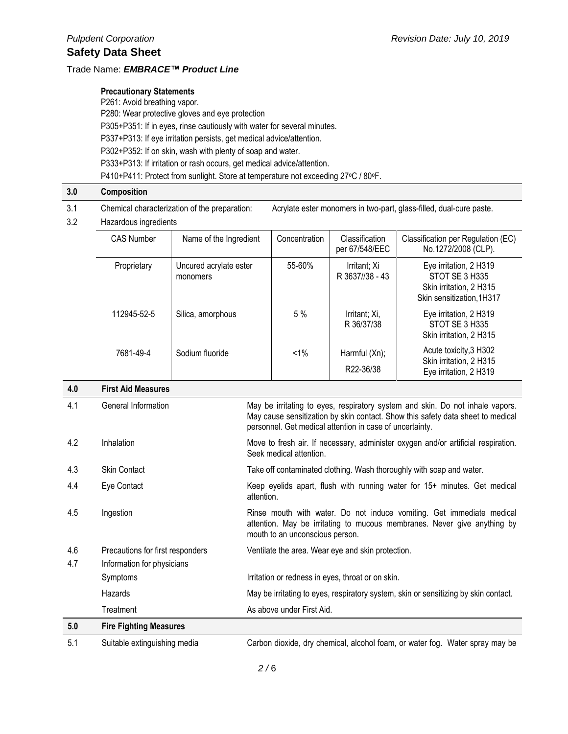#### Trade Name: *EMBRACE™ Product Line*

#### **Precautionary Statements**

P261: Avoid breathing vapor. P280: Wear protective gloves and eye protection P305+P351: If in eyes, rinse cautiously with water for several minutes. P337+P313: If eye irritation persists, get medical advice/attention. P302+P352: If on skin, wash with plenty of soap and water. P333+P313: If irritation or rash occurs, get medical advice/attention. P410+P411: Protect from sunlight. Store at temperature not exceeding 27°C / 80°F.

#### **3.0 Composition**

- 3.1 Chemical characterization of the preparation: Acrylate ester monomers in two-part, glass-filled, dual-cure paste.
- 3.2 Hazardous ingredients

|     | <b>CAS Number</b>         | Name of the Ingredient             | Concentration | Classification<br>per 67/548/EEC | Classification per Regulation (EC)<br>No.1272/2008 (CLP).                                        |
|-----|---------------------------|------------------------------------|---------------|----------------------------------|--------------------------------------------------------------------------------------------------|
|     | Proprietary               | Uncured acrylate ester<br>monomers | 55-60%        | Irritant; Xi<br>R 3637//38 - 43  | Eye irritation, 2 H319<br>STOT SE 3 H335<br>Skin irritation, 2 H315<br>Skin sensitization, 1H317 |
|     | 112945-52-5               | Silica, amorphous                  | 5%            | Irritant; Xi,<br>R 36/37/38      | Eye irritation, 2 H319<br>STOT SE 3 H335<br>Skin irritation, 2 H315                              |
|     | 7681-49-4                 | Sodium fluoride                    | $1\%$         | Harmful (Xn);<br>R22-36/38       | Acute toxicity, 3 H302<br>Skin irritation, 2 H315<br>Eye irritation, 2 H319                      |
| 4.0 | <b>First Aid Measures</b> |                                    |               |                                  |                                                                                                  |

| 4.1        | General Information                                            | May be irritating to eyes, respiratory system and skin. Do not inhale vapors.<br>May cause sensitization by skin contact. Show this safety data sheet to medical<br>personnel. Get medical attention in case of uncertainty. |
|------------|----------------------------------------------------------------|------------------------------------------------------------------------------------------------------------------------------------------------------------------------------------------------------------------------------|
| 4.2        | Inhalation                                                     | Move to fresh air. If necessary, administer oxygen and/or artificial respiration.<br>Seek medical attention.                                                                                                                 |
| 4.3        | <b>Skin Contact</b>                                            | Take off contaminated clothing. Wash thoroughly with soap and water.                                                                                                                                                         |
| 4.4        | Eye Contact                                                    | Keep eyelids apart, flush with running water for 15+ minutes. Get medical<br>attention.                                                                                                                                      |
| 4.5        | Ingestion                                                      | Rinse mouth with water. Do not induce vomiting. Get immediate medical<br>attention. May be irritating to mucous membranes. Never give anything by<br>mouth to an unconscious person.                                         |
| 4.6<br>4.7 | Precautions for first responders<br>Information for physicians | Ventilate the area. Wear eye and skin protection.                                                                                                                                                                            |
|            | Symptoms                                                       | Irritation or redness in eyes, throat or on skin.                                                                                                                                                                            |
|            | Hazards                                                        | May be irritating to eyes, respiratory system, skin or sensitizing by skin contact.                                                                                                                                          |
|            | Treatment                                                      | As above under First Aid.                                                                                                                                                                                                    |
| 5.0        | <b>Fire Fighting Measures</b>                                  |                                                                                                                                                                                                                              |
| 5.1        | Suitable extinguishing media                                   | Carbon dioxide, dry chemical, alcohol foam, or water fog. Water spray may be                                                                                                                                                 |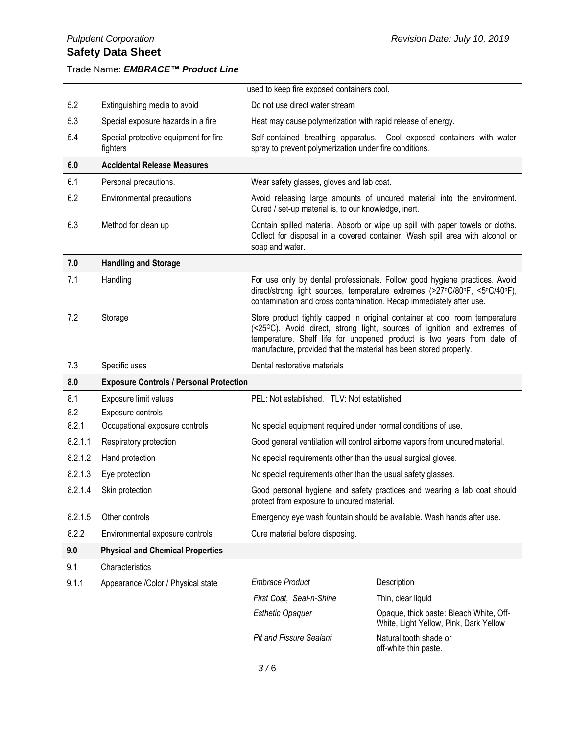Trade Name: *EMBRACE™ Product Line* 

# used to keep fire exposed containers cool. 5.2 Extinguishing media to avoid Do not use direct water stream 5.3 Special exposure hazards in a fire Heat may cause polymerization with rapid release of energy. 5.4 Special protective equipment for firefighters Self-contained breathing apparatus. Cool exposed containers with water spray to prevent polymerization under fire conditions. **6.0 Accidental Release Measures** 6.1 Personal precautions. Wear safety glasses, gloves and lab coat. 6.2 Environmental precautions Avoid releasing large amounts of uncured material into the environment. Cured / set-up material is, to our knowledge, inert. 6.3 Method for clean up Contain spilled material. Absorb or wipe up spill with paper towels or cloths. Collect for disposal in a covered container. Wash spill area with alcohol or soap and water. **7.0 Handling and Storage** 7.1 Handling For use only by dental professionals. Follow good hygiene practices. Avoid direct/strong light sources, temperature extremes (>27oC/80oF, <5oC/40oF), contamination and cross contamination. Recap immediately after use. 7.2 Storage Store product tightly capped in original container at cool room temperature (<25OC). Avoid direct, strong light, sources of ignition and extremes of temperature. Shelf life for unopened product is two years from date of manufacture, provided that the material has been stored properly. 7.3 Specific uses Dental restorative materials **8.0 Exposure Controls / Personal Protection** 8.1 Exposure limit values **PEL: Not established.** TLV: Not established. 8.2 Exposure controls 8.2.1 Occupational exposure controls No special equipment required under normal conditions of use. 8.2.1.1 Respiratory protection Good general ventilation will control airborne vapors from uncured material. 8.2.1.2 Hand protection **No special requirements other than the usual surgical gloves.** 8.2.1.3 Eye protection No special requirements other than the usual safety glasses. 8.2.1.4 Skin protection Good personal hygiene and safety practices and wearing a lab coat should protect from exposure to uncured material. 8.2.1.5 Other controls **Emergency eye wash fountain should be available. Wash hands after use.** 8.2.2 Environmental exposure controls Cure material before disposing. **9.0 Physical and Chemical Properties** 9.1 Characteristics 9.1.1 Appearance /Color / Physical state *Embrace Product* Description *First Coat, Seal-n-Shine* Thin, clear liquid **Esthetic Opaquer Changler** Opaque, thick paste: Bleach White, Off-White, Light Yellow, Pink, Dark Yellow **Pit and Fissure Sealant** Natural tooth shade or off-white thin paste.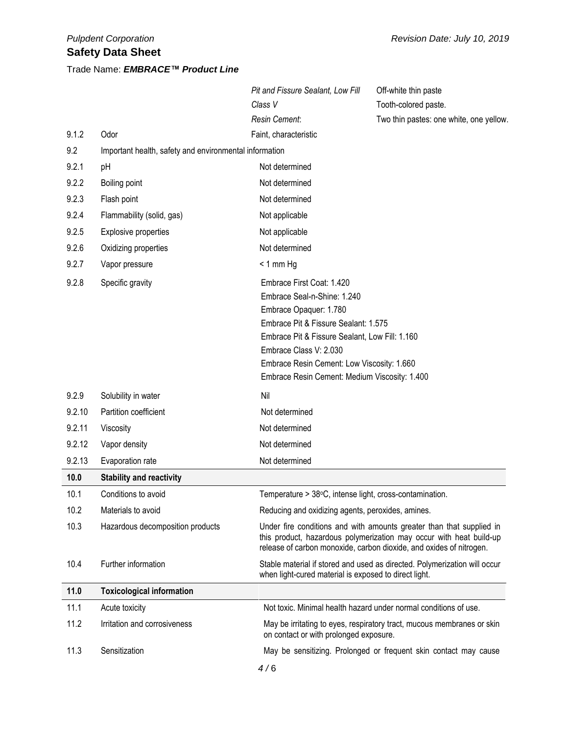# Trade Name: *EMBRACE™ Product Line*

|        |                                                        | Pit and Fissure Sealant, Low Fill                                                                                                                                                                                                                                                                     | Off-white thin paste                                                                                                                                                                                               |
|--------|--------------------------------------------------------|-------------------------------------------------------------------------------------------------------------------------------------------------------------------------------------------------------------------------------------------------------------------------------------------------------|--------------------------------------------------------------------------------------------------------------------------------------------------------------------------------------------------------------------|
|        |                                                        | Class V                                                                                                                                                                                                                                                                                               | Tooth-colored paste.                                                                                                                                                                                               |
|        |                                                        | <b>Resin Cement:</b>                                                                                                                                                                                                                                                                                  | Two thin pastes: one white, one yellow.                                                                                                                                                                            |
| 9.1.2  | Odor                                                   | Faint, characteristic                                                                                                                                                                                                                                                                                 |                                                                                                                                                                                                                    |
| 9.2    | Important health, safety and environmental information |                                                                                                                                                                                                                                                                                                       |                                                                                                                                                                                                                    |
| 9.2.1  | pH                                                     | Not determined                                                                                                                                                                                                                                                                                        |                                                                                                                                                                                                                    |
| 9.2.2  | Boiling point                                          | Not determined                                                                                                                                                                                                                                                                                        |                                                                                                                                                                                                                    |
| 9.2.3  | Flash point                                            | Not determined                                                                                                                                                                                                                                                                                        |                                                                                                                                                                                                                    |
| 9.2.4  | Flammability (solid, gas)                              | Not applicable                                                                                                                                                                                                                                                                                        |                                                                                                                                                                                                                    |
| 9.2.5  | Explosive properties                                   | Not applicable                                                                                                                                                                                                                                                                                        |                                                                                                                                                                                                                    |
| 9.2.6  | Oxidizing properties                                   | Not determined                                                                                                                                                                                                                                                                                        |                                                                                                                                                                                                                    |
| 9.2.7  | Vapor pressure                                         | $< 1$ mm Hg                                                                                                                                                                                                                                                                                           |                                                                                                                                                                                                                    |
| 9.2.8  | Specific gravity                                       | Embrace First Coat: 1.420<br>Embrace Seal-n-Shine: 1.240<br>Embrace Opaquer: 1.780<br>Embrace Pit & Fissure Sealant: 1.575<br>Embrace Pit & Fissure Sealant, Low Fill: 1.160<br>Embrace Class V: 2.030<br>Embrace Resin Cement: Low Viscosity: 1.660<br>Embrace Resin Cement: Medium Viscosity: 1.400 |                                                                                                                                                                                                                    |
| 9.2.9  | Solubility in water                                    | Nil                                                                                                                                                                                                                                                                                                   |                                                                                                                                                                                                                    |
| 9.2.10 | Partition coefficient                                  | Not determined                                                                                                                                                                                                                                                                                        |                                                                                                                                                                                                                    |
| 9.2.11 | Viscosity                                              | Not determined                                                                                                                                                                                                                                                                                        |                                                                                                                                                                                                                    |
| 9.2.12 | Vapor density                                          | Not determined                                                                                                                                                                                                                                                                                        |                                                                                                                                                                                                                    |
| 9.2.13 | Evaporation rate                                       | Not determined                                                                                                                                                                                                                                                                                        |                                                                                                                                                                                                                    |
| 10.0   | <b>Stability and reactivity</b>                        |                                                                                                                                                                                                                                                                                                       |                                                                                                                                                                                                                    |
| 10.1   | Conditions to avoid                                    | Temperature > 38°C, intense light, cross-contamination.                                                                                                                                                                                                                                               |                                                                                                                                                                                                                    |
| 10.2   | Materials to avoid                                     | Reducing and oxidizing agents, peroxides, amines.                                                                                                                                                                                                                                                     |                                                                                                                                                                                                                    |
| 10.3   | Hazardous decomposition products                       |                                                                                                                                                                                                                                                                                                       | Under fire conditions and with amounts greater than that supplied in<br>this product, hazardous polymerization may occur with heat build-up<br>release of carbon monoxide, carbon dioxide, and oxides of nitrogen. |
| 10.4   | Further information                                    | when light-cured material is exposed to direct light.                                                                                                                                                                                                                                                 | Stable material if stored and used as directed. Polymerization will occur                                                                                                                                          |
| 11.0   | <b>Toxicological information</b>                       |                                                                                                                                                                                                                                                                                                       |                                                                                                                                                                                                                    |
| 11.1   | Acute toxicity                                         |                                                                                                                                                                                                                                                                                                       | Not toxic. Minimal health hazard under normal conditions of use.                                                                                                                                                   |
| 11.2   | Irritation and corrosiveness                           | on contact or with prolonged exposure.                                                                                                                                                                                                                                                                | May be irritating to eyes, respiratory tract, mucous membranes or skin                                                                                                                                             |
| 11.3   | Sensitization                                          |                                                                                                                                                                                                                                                                                                       | May be sensitizing. Prolonged or frequent skin contact may cause                                                                                                                                                   |
|        |                                                        | 4/6                                                                                                                                                                                                                                                                                                   |                                                                                                                                                                                                                    |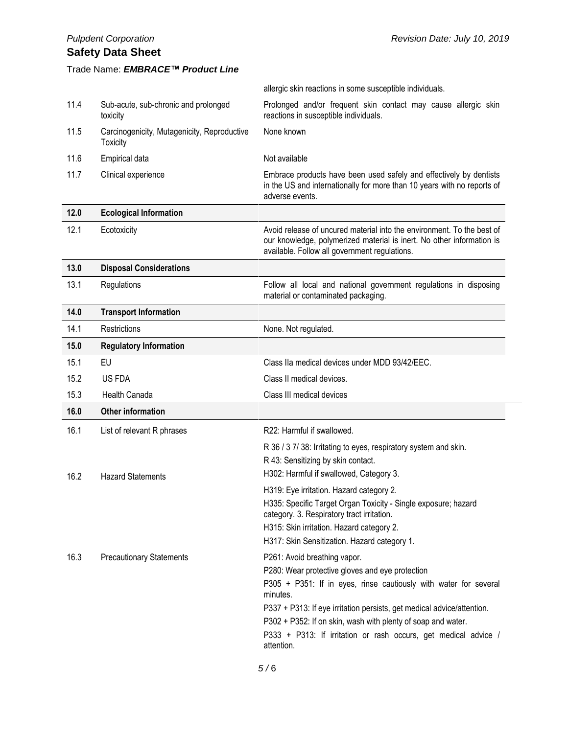# Trade Name: *EMBRACE™ Product Line*

|      |                                                                | allergic skin reactions in some susceptible individuals.                                                                                                                                                  |  |
|------|----------------------------------------------------------------|-----------------------------------------------------------------------------------------------------------------------------------------------------------------------------------------------------------|--|
| 11.4 | Sub-acute, sub-chronic and prolonged<br>toxicity               | Prolonged and/or frequent skin contact may cause allergic skin<br>reactions in susceptible individuals.                                                                                                   |  |
| 11.5 | Carcinogenicity, Mutagenicity, Reproductive<br><b>Toxicity</b> | None known                                                                                                                                                                                                |  |
| 11.6 | Empirical data                                                 | Not available                                                                                                                                                                                             |  |
| 11.7 | Clinical experience                                            | Embrace products have been used safely and effectively by dentists<br>in the US and internationally for more than 10 years with no reports of<br>adverse events.                                          |  |
| 12.0 | <b>Ecological Information</b>                                  |                                                                                                                                                                                                           |  |
| 12.1 | Ecotoxicity                                                    | Avoid release of uncured material into the environment. To the best of<br>our knowledge, polymerized material is inert. No other information is<br>available. Follow all government regulations.          |  |
| 13.0 | <b>Disposal Considerations</b>                                 |                                                                                                                                                                                                           |  |
| 13.1 | Regulations                                                    | Follow all local and national government regulations in disposing<br>material or contaminated packaging.                                                                                                  |  |
| 14.0 | <b>Transport Information</b>                                   |                                                                                                                                                                                                           |  |
| 14.1 | Restrictions                                                   | None. Not regulated.                                                                                                                                                                                      |  |
| 15.0 | <b>Regulatory Information</b>                                  |                                                                                                                                                                                                           |  |
| 15.1 | EU                                                             | Class IIa medical devices under MDD 93/42/EEC.                                                                                                                                                            |  |
| 15.2 | US FDA                                                         | Class II medical devices.                                                                                                                                                                                 |  |
| 15.3 | Health Canada                                                  | Class III medical devices                                                                                                                                                                                 |  |
| 16.0 | <b>Other information</b>                                       |                                                                                                                                                                                                           |  |
| 16.1 | List of relevant R phrases                                     | R22: Harmful if swallowed.                                                                                                                                                                                |  |
| 16.2 | <b>Hazard Statements</b>                                       | R 36 / 3 7/ 38: Irritating to eyes, respiratory system and skin.<br>R 43: Sensitizing by skin contact.<br>H302: Harmful if swallowed, Category 3.                                                         |  |
|      |                                                                | H319: Eye irritation. Hazard category 2.                                                                                                                                                                  |  |
|      |                                                                | H335: Specific Target Organ Toxicity - Single exposure; hazard<br>category. 3. Respiratory tract irritation.<br>H315: Skin irritation. Hazard category 2.<br>H317: Skin Sensitization. Hazard category 1. |  |
| 16.3 | <b>Precautionary Statements</b>                                | P261: Avoid breathing vapor.                                                                                                                                                                              |  |
|      |                                                                | P280: Wear protective gloves and eye protection                                                                                                                                                           |  |
|      |                                                                | P305 + P351: If in eyes, rinse cautiously with water for several<br>minutes.                                                                                                                              |  |
|      |                                                                | P337 + P313: If eye irritation persists, get medical advice/attention.                                                                                                                                    |  |
|      |                                                                | P302 + P352: If on skin, wash with plenty of soap and water.                                                                                                                                              |  |
|      |                                                                | P333 + P313: If irritation or rash occurs, get medical advice /<br>attention.                                                                                                                             |  |